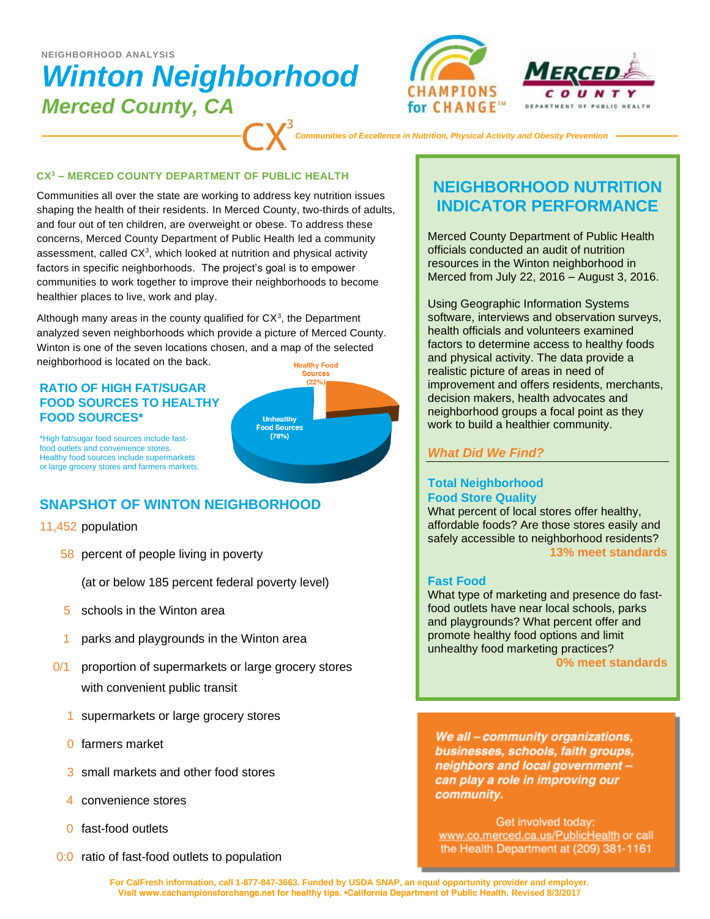# *Winton Neighborhood Merced County, CA*  **NEIGHBORHOOD ANALYSIS**





*Communities of Excellence in Nutrition, Physical Activity and Obesity Prevention*

#### **CX<sup>3</sup> – MERCED COUNTY DEPARTMENT OF PUBLIC HEALTH**

Communities all over the state are working to address key nutrition issues shaping the health of their residents. In Merced County, two-thirds of adults, and four out of ten children, are overweight or obese. To address these concerns, Merced County Department of Public Health led a community assessment, called  $CX<sup>3</sup>$ , which looked at nutrition and physical activity factors in specific neighborhoods. The project's goal is to empower communities to work together to improve their neighborhoods to become healthier places to live, work and play.

Although many areas in the county qualified for  $CX<sup>3</sup>$ , the Department analyzed seven neighborhoods which provide a picture of Merced County. Winton is one of the seven locations chosen, and a map of the selected neighborhood is located on the back. **Healthy Food** 

### **RATIO OF HIGH FAT/SUGAR FOOD SOURCES TO HEALTHY FOOD SOURCES\***



\*High fat/sugar food sources include fastfood outlets and convenience stores. Healthy food sources include supermarkets or large grocery stores and farmers markets.

## **SNAPSHOT OF WINTON NEIGHBORHOOD**

### 11,452 population

58 percent of people living in poverty

(at or below 185 percent federal poverty level)

- 5 schools in the Winton area
- 1 parks and playgrounds in the Winton area
- 0/1 proportion of supermarkets or large grocery stores with convenient public transit
	- 1 supermarkets or large grocery stores
	- 0 farmers market
	- 3 small markets and other food stores
	- 4 convenience stores
	- 0 fast-food outlets
- 0:0 ratio of fast-food outlets to population

## **NEIGHBORHOOD NUTRITION INDICATOR PERFORMANCE**

Merced County Department of Public Health officials conducted an audit of nutrition resources in the Winton neighborhood in Merced from July 22, 2016 – August 3, 2016.

Using Geographic Information Systems software, interviews and observation surveys, health officials and volunteers examined factors to determine access to healthy foods and physical activity. The data provide a realistic picture of areas in need of improvement and offers residents, merchants, decision makers, health advocates and neighborhood groups a focal point as they work to build a healthier community.

### *What Did We Find?*

### **Total Neighborhood Food Store Quality**

What percent of local stores offer healthy, affordable foods? Are those stores easily and safely accessible to neighborhood residents? **13% meet standards**

### **Fast Food**

What type of marketing and presence do fastfood outlets have near local schools, parks and playgrounds? What percent offer and promote healthy food options and limit unhealthy food marketing practices?

**0% meet standards**

We all - community organizations, businesses, schools, faith groups, neighbors and local government can play a role in improving our community.

Get involved today: www.co.merced.ca.us/PublicHealth or call the Health Department at (209) 381-1161